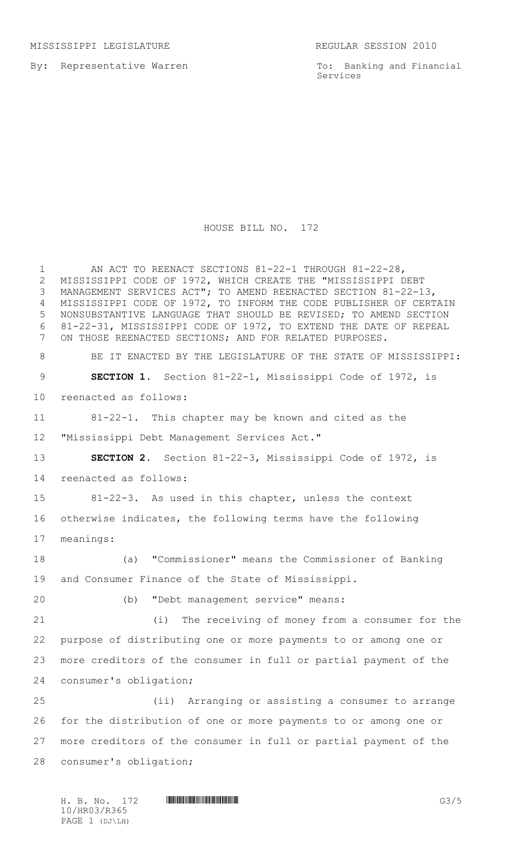By: Representative Warren

To: Banking and Financial Services

## HOUSE BILL NO. 172

1 AN ACT TO REENACT SECTIONS 81-22-1 THROUGH 81-22-28, MISSISSIPPI CODE OF 1972, WHICH CREATE THE "MISSISSIPPI DEBT MANAGEMENT SERVICES ACT"; TO AMEND REENACTED SECTION 81-22-13, MISSISSIPPI CODE OF 1972, TO INFORM THE CODE PUBLISHER OF CERTAIN NONSUBSTANTIVE LANGUAGE THAT SHOULD BE REVISED; TO AMEND SECTION 81-22-31, MISSISSIPPI CODE OF 1972, TO EXTEND THE DATE OF REPEAL ON THOSE REENACTED SECTIONS; AND FOR RELATED PURPOSES. 8 BE IT ENACTED BY THE LEGISLATURE OF THE STATE OF MISSISSIPPI: **SECTION 1.** Section 81-22-1, Mississippi Code of 1972, is reenacted as follows: 81-22-1. This chapter may be known and cited as the "Mississippi Debt Management Services Act." **SECTION 2.** Section 81-22-3, Mississippi Code of 1972, is reenacted as follows: 81-22-3. As used in this chapter, unless the context otherwise indicates, the following terms have the following meanings: (a)"Commissioner" means the Commissioner of Banking and Consumer Finance of the State of Mississippi. (b) "Debt management service" means: (i) The receiving of money from a consumer for the purpose of distributing one or more payments to or among one or more creditors of the consumer in full or partial payment of the consumer's obligation; (ii) Arranging or assisting a consumer to arrange for the distribution of one or more payments to or among one or more creditors of the consumer in full or partial payment of the consumer's obligation;

H. B. No. 172 **HROBOTH SEE ASSESSED AT A SET AND SEE ASSESSED AT A SET AND SEE ASSESSED AT A SET AND G3/5** 10/HR03/R365 PAGE 1 (DJ\LH)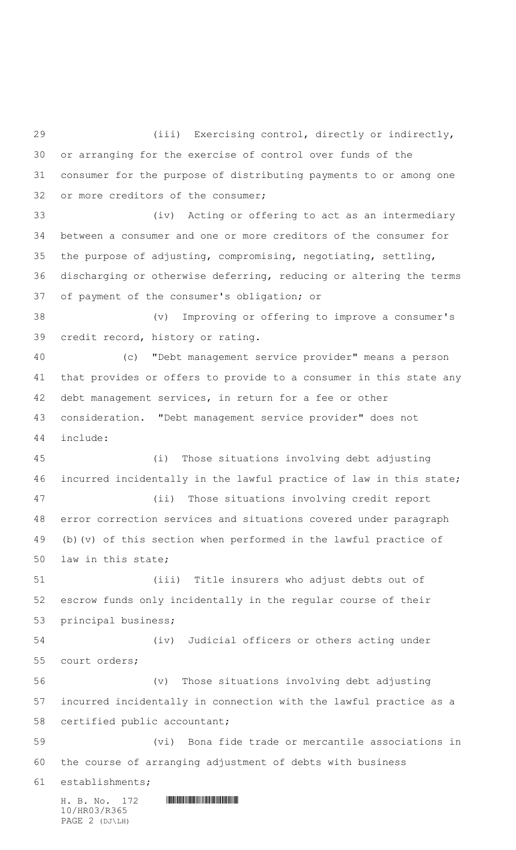$H. B. No. 172$  HROSE FIRST FIRST FIRST FIRST FIRST FIRST FIRST FIRST FIRST FIRST FIRST FIRST FIRST FIRST FIRST FIRST FIRST FIRST FIRST FIRST FIRST FIRST FIRST FIRST FIRST FIRST FIRST FIRST FIRST FIRST FIRST FIRST FIRST FIRS 10/HR03/R365 (iii) Exercising control, directly or indirectly, or arranging for the exercise of control over funds of the consumer for the purpose of distributing payments to or among one or more creditors of the consumer; (iv) Acting or offering to act as an intermediary between a consumer and one or more creditors of the consumer for the purpose of adjusting, compromising, negotiating, settling, discharging or otherwise deferring, reducing or altering the terms of payment of the consumer's obligation; or (v) Improving or offering to improve a consumer's credit record, history or rating. (c) "Debt management service provider" means a person that provides or offers to provide to a consumer in this state any debt management services, in return for a fee or other consideration. "Debt management service provider" does not include: (i) Those situations involving debt adjusting incurred incidentally in the lawful practice of law in this state; (ii) Those situations involving credit report error correction services and situations covered under paragraph (b)(v) of this section when performed in the lawful practice of law in this state; (iii) Title insurers who adjust debts out of escrow funds only incidentally in the regular course of their principal business; (iv) Judicial officers or others acting under court orders; (v) Those situations involving debt adjusting incurred incidentally in connection with the lawful practice as a certified public accountant; (vi) Bona fide trade or mercantile associations in the course of arranging adjustment of debts with business establishments;

PAGE 2 (DJ\LH)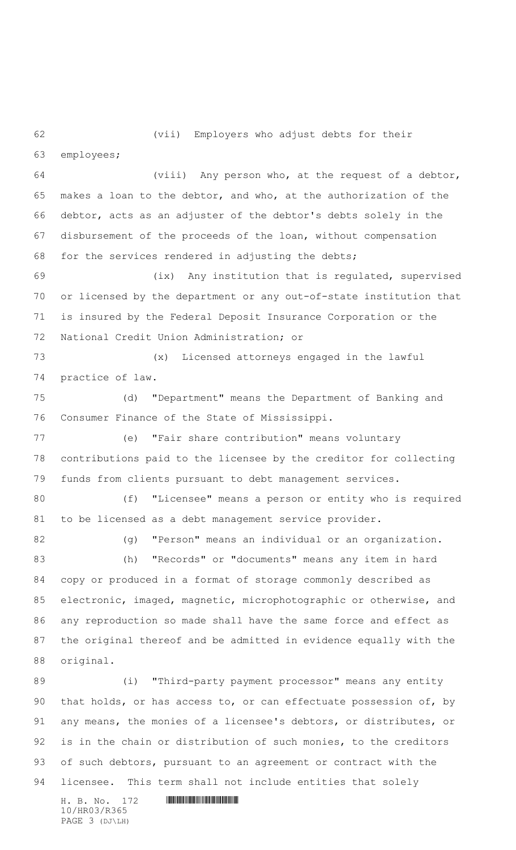(vii) Employers who adjust debts for their

employees;

 (viii) Any person who, at the request of a debtor, makes a loan to the debtor, and who, at the authorization of the debtor, acts as an adjuster of the debtor's debts solely in the disbursement of the proceeds of the loan, without compensation for the services rendered in adjusting the debts;

 (ix) Any institution that is regulated, supervised or licensed by the department or any out-of-state institution that is insured by the Federal Deposit Insurance Corporation or the National Credit Union Administration; or

 (x) Licensed attorneys engaged in the lawful practice of law.

 (d) "Department" means the Department of Banking and Consumer Finance of the State of Mississippi.

 (e) "Fair share contribution" means voluntary contributions paid to the licensee by the creditor for collecting funds from clients pursuant to debt management services.

 (f) "Licensee" means a person or entity who is required to be licensed as a debt management service provider.

82 (g) "Person" means an individual or an organization.

 (h) "Records" or "documents" means any item in hard copy or produced in a format of storage commonly described as electronic, imaged, magnetic, microphotographic or otherwise, and any reproduction so made shall have the same force and effect as the original thereof and be admitted in evidence equally with the original.

 (i) "Third-party payment processor" means any entity that holds, or has access to, or can effectuate possession of, by any means, the monies of a licensee's debtors, or distributes, or is in the chain or distribution of such monies, to the creditors 93 of such debtors, pursuant to an agreement or contract with the licensee. This term shall not include entities that solely

H. B. No. 172 \*HR03/R365\* 10/HR03/R365 PAGE 3 (DJ\LH)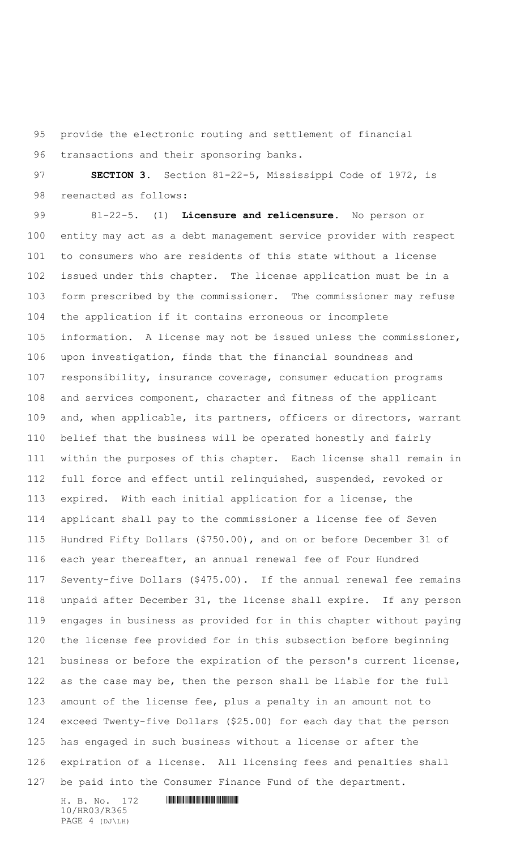provide the electronic routing and settlement of financial transactions and their sponsoring banks.

 **SECTION 3.** Section 81-22-5, Mississippi Code of 1972, is reenacted as follows:

 81-22-5. (1) **Licensure and relicensure.** No person or entity may act as a debt management service provider with respect to consumers who are residents of this state without a license issued under this chapter. The license application must be in a form prescribed by the commissioner. The commissioner may refuse the application if it contains erroneous or incomplete information. A license may not be issued unless the commissioner, upon investigation, finds that the financial soundness and responsibility, insurance coverage, consumer education programs and services component, character and fitness of the applicant and, when applicable, its partners, officers or directors, warrant belief that the business will be operated honestly and fairly within the purposes of this chapter. Each license shall remain in full force and effect until relinquished, suspended, revoked or expired. With each initial application for a license, the applicant shall pay to the commissioner a license fee of Seven Hundred Fifty Dollars (\$750.00), and on or before December 31 of each year thereafter, an annual renewal fee of Four Hundred Seventy-five Dollars (\$475.00). If the annual renewal fee remains unpaid after December 31, the license shall expire. If any person engages in business as provided for in this chapter without paying the license fee provided for in this subsection before beginning business or before the expiration of the person's current license, as the case may be, then the person shall be liable for the full amount of the license fee, plus a penalty in an amount not to exceed Twenty-five Dollars (\$25.00) for each day that the person has engaged in such business without a license or after the expiration of a license. All licensing fees and penalties shall be paid into the Consumer Finance Fund of the department.

H. B. No. 172 \*HR03/R365\* 10/HR03/R365 PAGE 4 (DJ\LH)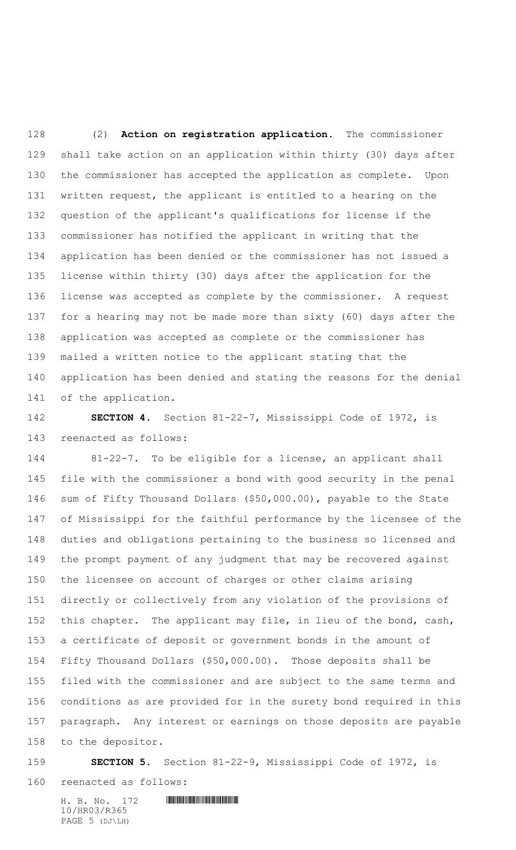(2) **Action on registration application.** The commissioner shall take action on an application within thirty (30) days after the commissioner has accepted the application as complete. Upon written request, the applicant is entitled to a hearing on the question of the applicant's qualifications for license if the commissioner has notified the applicant in writing that the application has been denied or the commissioner has not issued a license within thirty (30) days after the application for the license was accepted as complete by the commissioner. A request for a hearing may not be made more than sixty (60) days after the application was accepted as complete or the commissioner has mailed a written notice to the applicant stating that the application has been denied and stating the reasons for the denial of the application.

 **SECTION 4.** Section 81-22-7, Mississippi Code of 1972, is reenacted as follows:

 81-22-7. To be eligible for a license, an applicant shall file with the commissioner a bond with good security in the penal sum of Fifty Thousand Dollars (\$50,000.00), payable to the State of Mississippi for the faithful performance by the licensee of the duties and obligations pertaining to the business so licensed and the prompt payment of any judgment that may be recovered against the licensee on account of charges or other claims arising directly or collectively from any violation of the provisions of 152 this chapter. The applicant may file, in lieu of the bond, cash, a certificate of deposit or government bonds in the amount of Fifty Thousand Dollars (\$50,000.00). Those deposits shall be filed with the commissioner and are subject to the same terms and conditions as are provided for in the surety bond required in this paragraph. Any interest or earnings on those deposits are payable to the depositor.

**SECTION 5.** Section 81-22-9, Mississippi Code of 1972, is

reenacted as follows:

H. B. No. 172 \*HR03/R365\*

10/HR03/R365 PAGE 5 (DJ\LH)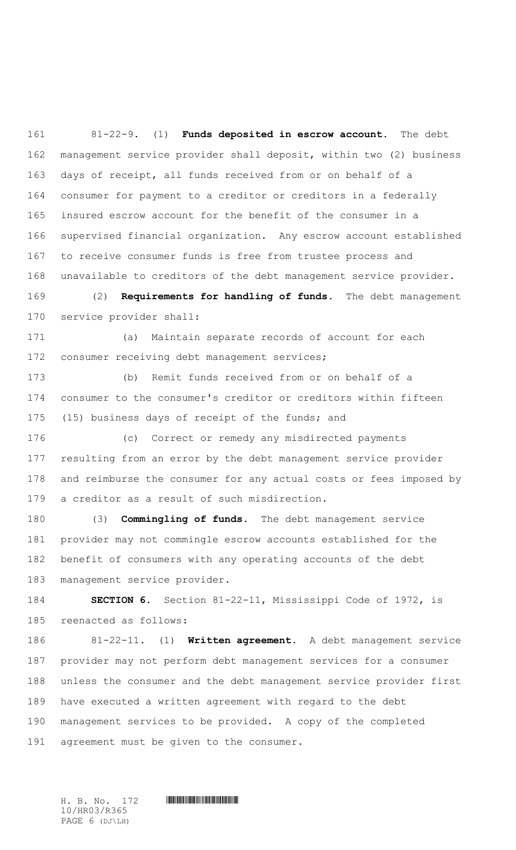81-22-9. (1) **Funds deposited in escrow account.** The debt management service provider shall deposit, within two (2) business days of receipt, all funds received from or on behalf of a consumer for payment to a creditor or creditors in a federally insured escrow account for the benefit of the consumer in a supervised financial organization. Any escrow account established to receive consumer funds is free from trustee process and unavailable to creditors of the debt management service provider.

 (2) **Requirements for handling of funds.** The debt management service provider shall:

 (a) Maintain separate records of account for each consumer receiving debt management services;

 (b) Remit funds received from or on behalf of a consumer to the consumer's creditor or creditors within fifteen (15) business days of receipt of the funds; and

 (c) Correct or remedy any misdirected payments resulting from an error by the debt management service provider and reimburse the consumer for any actual costs or fees imposed by a creditor as a result of such misdirection.

 (3) **Commingling of funds.** The debt management service provider may not commingle escrow accounts established for the benefit of consumers with any operating accounts of the debt management service provider.

 **SECTION 6.** Section 81-22-11, Mississippi Code of 1972, is reenacted as follows:

 81-22-11. (1) **Written agreement.** A debt management service provider may not perform debt management services for a consumer unless the consumer and the debt management service provider first have executed a written agreement with regard to the debt management services to be provided. A copy of the completed 191 agreement must be given to the consumer.

10/HR03/R365 PAGE 6 (DJ\LH)

H. B. No. 172 \*HR03/R365\*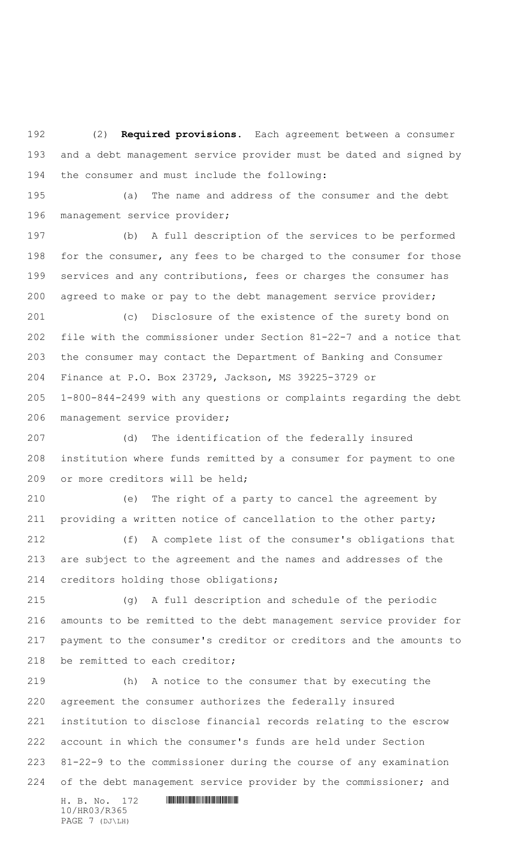(2) **Required provisions.** Each agreement between a consumer and a debt management service provider must be dated and signed by the consumer and must include the following:

 (a) The name and address of the consumer and the debt management service provider;

 (b) A full description of the services to be performed for the consumer, any fees to be charged to the consumer for those 199 services and any contributions, fees or charges the consumer has agreed to make or pay to the debt management service provider;

 (c) Disclosure of the existence of the surety bond on file with the commissioner under Section 81-22-7 and a notice that the consumer may contact the Department of Banking and Consumer Finance at P.O. Box 23729, Jackson, MS 39225-3729 or 1-800-844-2499 with any questions or complaints regarding the debt management service provider;

 (d) The identification of the federally insured institution where funds remitted by a consumer for payment to one 209 or more creditors will be held;

 (e) The right of a party to cancel the agreement by providing a written notice of cancellation to the other party;

 (f) A complete list of the consumer's obligations that are subject to the agreement and the names and addresses of the creditors holding those obligations;

 (g) A full description and schedule of the periodic amounts to be remitted to the debt management service provider for payment to the consumer's creditor or creditors and the amounts to 218 be remitted to each creditor;

 (h) A notice to the consumer that by executing the agreement the consumer authorizes the federally insured institution to disclose financial records relating to the escrow account in which the consumer's funds are held under Section 81-22-9 to the commissioner during the course of any examination of the debt management service provider by the commissioner; and

10/HR03/R365 PAGE 7 (DJ\LH)

 $H. B. No. 172$  HROSE HROSES FOR A SET OF A SET OF A SET OF A SET OF A SET OF A SET OF A SET OF A SET OF A SET OF A SET OF A SET OF A SET OF A SET OF A SET OF A SET OF A SET OF A SET OF A SET OF A SET OF A SET OF A SET OF A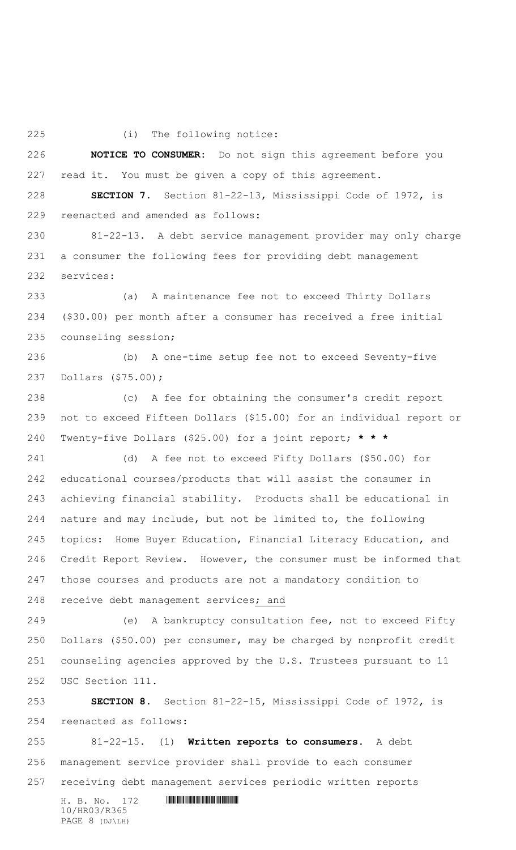(i) The following notice:

 **NOTICE TO CONSUMER:** Do not sign this agreement before you read it. You must be given a copy of this agreement.

 **SECTION 7.** Section 81-22-13, Mississippi Code of 1972, is reenacted and amended as follows:

 81-22-13. A debt service management provider may only charge a consumer the following fees for providing debt management services:

 (a) A maintenance fee not to exceed Thirty Dollars (\$30.00) per month after a consumer has received a free initial counseling session;

 (b) A one-time setup fee not to exceed Seventy-five Dollars (\$75.00);

 (c) A fee for obtaining the consumer's credit report not to exceed Fifteen Dollars (\$15.00) for an individual report or Twenty-five Dollars (\$25.00) for a joint report; **\* \* \***

 (d) A fee not to exceed Fifty Dollars (\$50.00) for educational courses/products that will assist the consumer in achieving financial stability. Products shall be educational in nature and may include, but not be limited to, the following topics: Home Buyer Education, Financial Literacy Education, and Credit Report Review. However, the consumer must be informed that those courses and products are not a mandatory condition to 248 receive debt management services; and

 (e) A bankruptcy consultation fee, not to exceed Fifty Dollars (\$50.00) per consumer, may be charged by nonprofit credit counseling agencies approved by the U.S. Trustees pursuant to 11 USC Section 111.

 **SECTION 8.** Section 81-22-15, Mississippi Code of 1972, is reenacted as follows:

 81-22-15. (1) **Written reports to consumers.** A debt management service provider shall provide to each consumer receiving debt management services periodic written reports

H. B. No. 172 \*HR03/R365\* 10/HR03/R365 PAGE 8 (DJ\LH)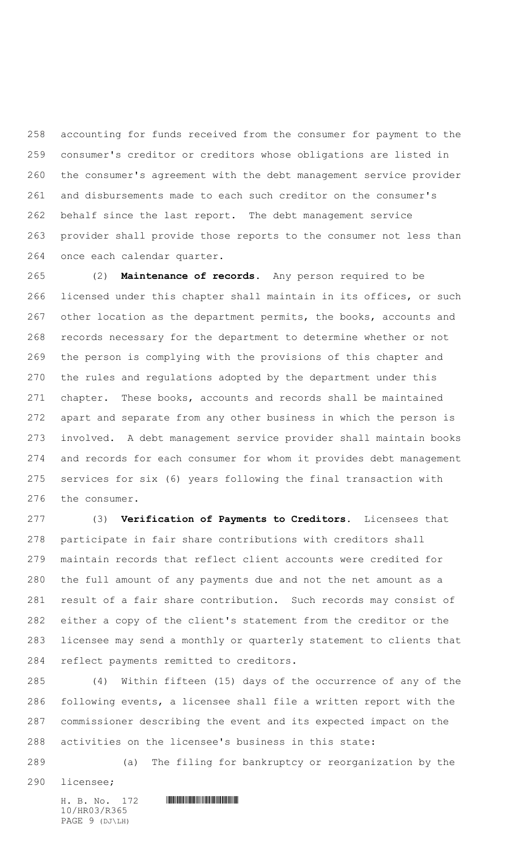accounting for funds received from the consumer for payment to the consumer's creditor or creditors whose obligations are listed in the consumer's agreement with the debt management service provider and disbursements made to each such creditor on the consumer's behalf since the last report. The debt management service provider shall provide those reports to the consumer not less than once each calendar quarter.

 (2) **Maintenance of records.** Any person required to be licensed under this chapter shall maintain in its offices, or such other location as the department permits, the books, accounts and records necessary for the department to determine whether or not the person is complying with the provisions of this chapter and the rules and regulations adopted by the department under this chapter. These books, accounts and records shall be maintained apart and separate from any other business in which the person is involved. A debt management service provider shall maintain books and records for each consumer for whom it provides debt management services for six (6) years following the final transaction with the consumer.

 (3) **Verification of Payments to Creditors.** Licensees that participate in fair share contributions with creditors shall maintain records that reflect client accounts were credited for the full amount of any payments due and not the net amount as a result of a fair share contribution. Such records may consist of either a copy of the client's statement from the creditor or the licensee may send a monthly or quarterly statement to clients that reflect payments remitted to creditors.

 (4) Within fifteen (15) days of the occurrence of any of the following events, a licensee shall file a written report with the commissioner describing the event and its expected impact on the activities on the licensee's business in this state:

(a) The filing for bankruptcy or reorganization by the

licensee;

10/HR03/R365 PAGE 9 (DJ\LH)

H. B. No. 172 \*HR03/R365\*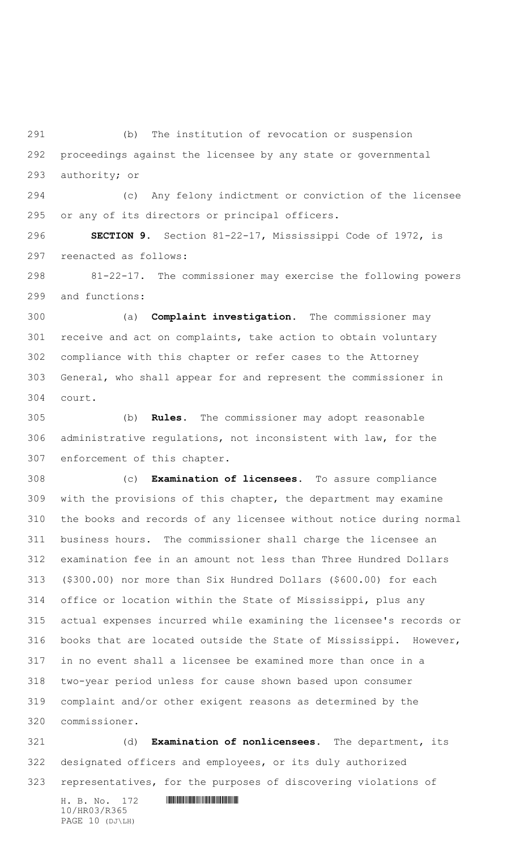(b) The institution of revocation or suspension proceedings against the licensee by any state or governmental authority; or

 (c) Any felony indictment or conviction of the licensee or any of its directors or principal officers.

 **SECTION 9.** Section 81-22-17, Mississippi Code of 1972, is reenacted as follows:

 81-22-17. The commissioner may exercise the following powers and functions:

 (a) **Complaint investigation.** The commissioner may receive and act on complaints, take action to obtain voluntary compliance with this chapter or refer cases to the Attorney General, who shall appear for and represent the commissioner in court.

 (b) **Rules.** The commissioner may adopt reasonable administrative regulations, not inconsistent with law, for the enforcement of this chapter.

 (c) **Examination of licensees.** To assure compliance with the provisions of this chapter, the department may examine the books and records of any licensee without notice during normal business hours. The commissioner shall charge the licensee an examination fee in an amount not less than Three Hundred Dollars (\$300.00) nor more than Six Hundred Dollars (\$600.00) for each office or location within the State of Mississippi, plus any actual expenses incurred while examining the licensee's records or books that are located outside the State of Mississippi. However, in no event shall a licensee be examined more than once in a two-year period unless for cause shown based upon consumer complaint and/or other exigent reasons as determined by the commissioner.

 (d) **Examination of nonlicensees.** The department, its designated officers and employees, or its duly authorized representatives, for the purposes of discovering violations of

 $H. B. No. 172$  HROSE HROSES FOR A SET OF A SET OF A SET OF A SET OF A SET OF A SET OF A SET OF A SET OF A SET OF A SET OF A SET OF A SET OF A SET OF A SET OF A SET OF A SET OF A SET OF A SET OF A SET OF A SET OF A SET OF A 10/HR03/R365 PAGE 10 (DJ\LH)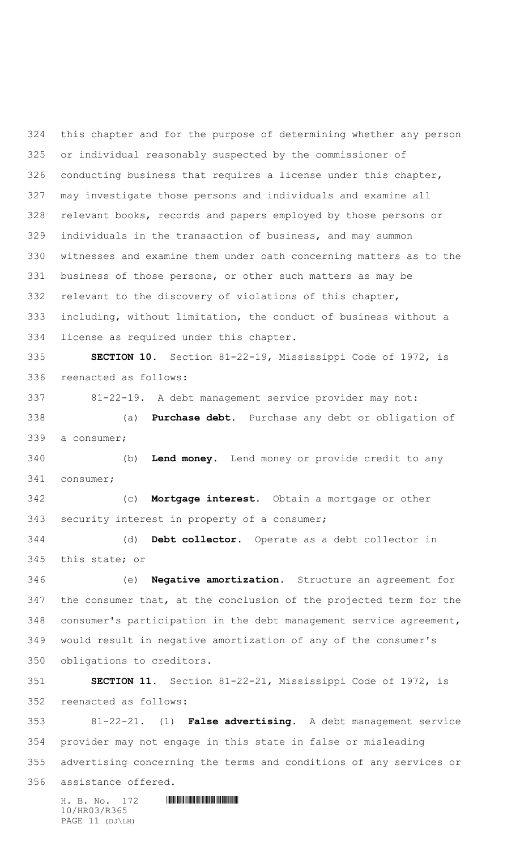this chapter and for the purpose of determining whether any person or individual reasonably suspected by the commissioner of conducting business that requires a license under this chapter, may investigate those persons and individuals and examine all relevant books, records and papers employed by those persons or individuals in the transaction of business, and may summon witnesses and examine them under oath concerning matters as to the business of those persons, or other such matters as may be relevant to the discovery of violations of this chapter, including, without limitation, the conduct of business without a license as required under this chapter.

 **SECTION 10.** Section 81-22-19, Mississippi Code of 1972, is reenacted as follows:

 81-22-19. A debt management service provider may not: (a) **Purchase debt.** Purchase any debt or obligation of a consumer;

 (b) **Lend money.** Lend money or provide credit to any consumer;

 (c) **Mortgage interest.** Obtain a mortgage or other security interest in property of a consumer;

 (d) **Debt collector.** Operate as a debt collector in this state; or

 (e) **Negative amortization.** Structure an agreement for the consumer that, at the conclusion of the projected term for the consumer's participation in the debt management service agreement, would result in negative amortization of any of the consumer's obligations to creditors.

 **SECTION 11.** Section 81-22-21, Mississippi Code of 1972, is reenacted as follows:

 81-22-21. (1) **False advertising.** A debt management service provider may not engage in this state in false or misleading advertising concerning the terms and conditions of any services or assistance offered.

 $H. B. No. 172$  HROSE FIRST FIRST FIRST FIRST FIRST FIRST FIRST FIRST FIRST FIRST FIRST FIRST FIRST FIRST FIRST FIRST FIRST FIRST FIRST FIRST FIRST FIRST FIRST FIRST FIRST FIRST FIRST FIRST FIRST FIRST FIRST FIRST FIRST FIRS 10/HR03/R365 PAGE 11 (DJ\LH)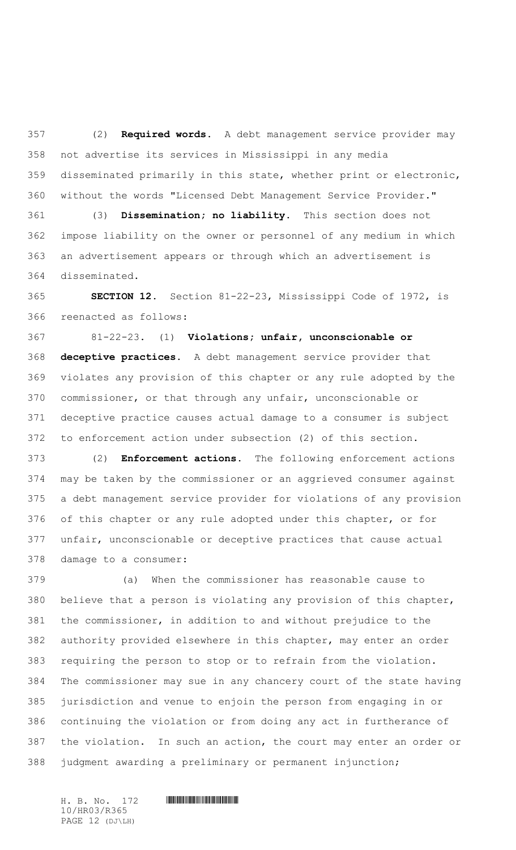(2) **Required words.** A debt management service provider may not advertise its services in Mississippi in any media disseminated primarily in this state, whether print or electronic, without the words "Licensed Debt Management Service Provider."

 (3) **Dissemination; no liability.** This section does not impose liability on the owner or personnel of any medium in which an advertisement appears or through which an advertisement is disseminated.

 **SECTION 12.** Section 81-22-23, Mississippi Code of 1972, is reenacted as follows:

 81-22-23. (1) **Violations; unfair, unconscionable or deceptive practices.** A debt management service provider that violates any provision of this chapter or any rule adopted by the commissioner, or that through any unfair, unconscionable or deceptive practice causes actual damage to a consumer is subject to enforcement action under subsection (2) of this section.

 (2) **Enforcement actions.** The following enforcement actions may be taken by the commissioner or an aggrieved consumer against a debt management service provider for violations of any provision of this chapter or any rule adopted under this chapter, or for unfair, unconscionable or deceptive practices that cause actual damage to a consumer:

 (a) When the commissioner has reasonable cause to believe that a person is violating any provision of this chapter, the commissioner, in addition to and without prejudice to the authority provided elsewhere in this chapter, may enter an order requiring the person to stop or to refrain from the violation. The commissioner may sue in any chancery court of the state having jurisdiction and venue to enjoin the person from engaging in or continuing the violation or from doing any act in furtherance of the violation. In such an action, the court may enter an order or judgment awarding a preliminary or permanent injunction;

10/HR03/R365 PAGE 12 (DJ\LH)

 $H. B. No. 172$  HROSE HROSES FOR A SET OF A SET OF A SET OF A SET OF A SET OF A SET OF A SET OF A SET OF A SET OF A SET OF A SET OF A SET OF A SET OF A SET OF A SET OF A SET OF A SET OF A SET OF A SET OF A SET OF A SET OF A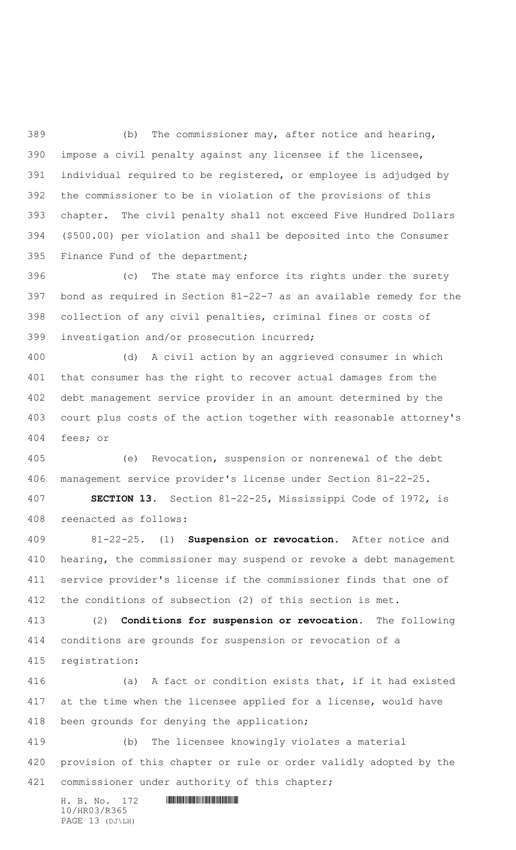(b) The commissioner may, after notice and hearing, impose a civil penalty against any licensee if the licensee, individual required to be registered, or employee is adjudged by the commissioner to be in violation of the provisions of this chapter. The civil penalty shall not exceed Five Hundred Dollars (\$500.00) per violation and shall be deposited into the Consumer Finance Fund of the department;

 (c) The state may enforce its rights under the surety bond as required in Section 81-22-7 as an available remedy for the collection of any civil penalties, criminal fines or costs of investigation and/or prosecution incurred;

 (d) A civil action by an aggrieved consumer in which that consumer has the right to recover actual damages from the debt management service provider in an amount determined by the court plus costs of the action together with reasonable attorney's fees; or

 (e) Revocation, suspension or nonrenewal of the debt management service provider's license under Section 81-22-25**.**

 **SECTION 13.** Section 81-22-25, Mississippi Code of 1972, is reenacted as follows:

 81-22-25. (1) **Suspension or revocation.** After notice and hearing, the commissioner may suspend or revoke a debt management service provider's license if the commissioner finds that one of the conditions of subsection (2) of this section is met.

 (2) **Conditions for suspension or revocation.** The following conditions are grounds for suspension or revocation of a registration:

 (a) A fact or condition exists that, if it had existed at the time when the licensee applied for a license, would have been grounds for denying the application;

 (b) The licensee knowingly violates a material provision of this chapter or rule or order validly adopted by the 421 commissioner under authority of this chapter;

H. B. No. 172 \*HR03/R365\* 10/HR03/R365 PAGE 13 (DJ\LH)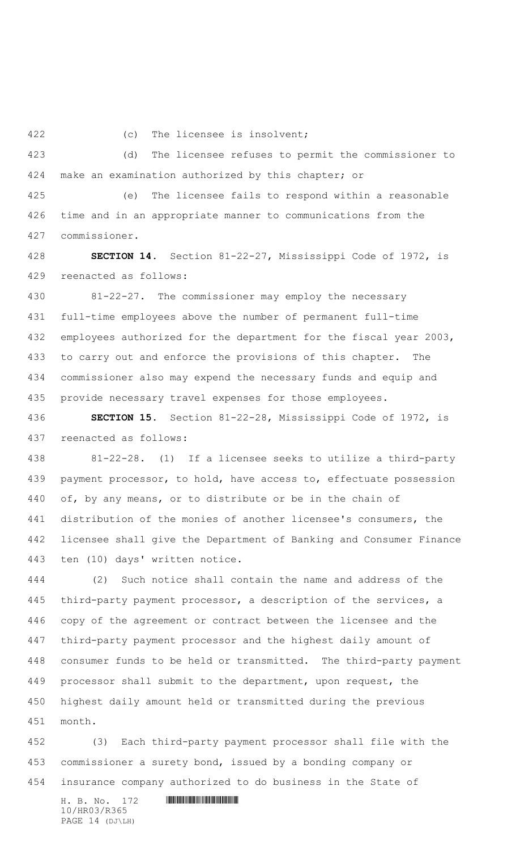(c) The licensee is insolvent;

 (d) The licensee refuses to permit the commissioner to make an examination authorized by this chapter; or

 (e) The licensee fails to respond within a reasonable time and in an appropriate manner to communications from the commissioner.

 **SECTION 14.** Section 81-22-27, Mississippi Code of 1972, is reenacted as follows:

 81-22-27. The commissioner may employ the necessary full-time employees above the number of permanent full-time 432 employees authorized for the department for the fiscal year 2003, to carry out and enforce the provisions of this chapter. The commissioner also may expend the necessary funds and equip and provide necessary travel expenses for those employees.

 **SECTION 15.** Section 81-22-28, Mississippi Code of 1972, is reenacted as follows:

 81-22-28. (1) If a licensee seeks to utilize a third-party 439 payment processor, to hold, have access to, effectuate possession of, by any means, or to distribute or be in the chain of distribution of the monies of another licensee's consumers, the licensee shall give the Department of Banking and Consumer Finance ten (10) days' written notice.

 (2) Such notice shall contain the name and address of the third-party payment processor, a description of the services, a copy of the agreement or contract between the licensee and the third-party payment processor and the highest daily amount of consumer funds to be held or transmitted. The third-party payment processor shall submit to the department, upon request, the highest daily amount held or transmitted during the previous month.

 (3) Each third-party payment processor shall file with the commissioner a surety bond, issued by a bonding company or insurance company authorized to do business in the State of

H. B. No. 172 \*HR03/R365\* 10/HR03/R365 PAGE 14 (DJ\LH)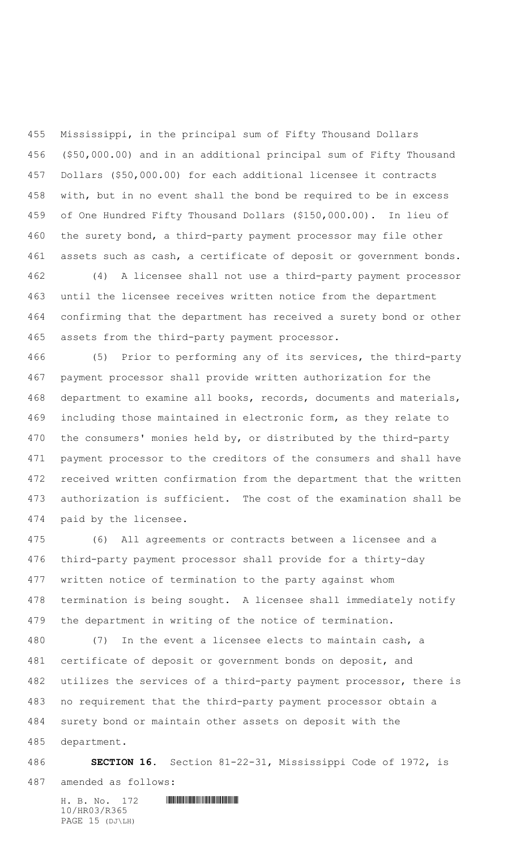Mississippi, in the principal sum of Fifty Thousand Dollars (\$50,000.00) and in an additional principal sum of Fifty Thousand Dollars (\$50,000.00) for each additional licensee it contracts with, but in no event shall the bond be required to be in excess of One Hundred Fifty Thousand Dollars (\$150,000.00). In lieu of the surety bond, a third-party payment processor may file other assets such as cash, a certificate of deposit or government bonds.

 (4) A licensee shall not use a third-party payment processor until the licensee receives written notice from the department confirming that the department has received a surety bond or other assets from the third-party payment processor.

 (5) Prior to performing any of its services, the third-party payment processor shall provide written authorization for the department to examine all books, records, documents and materials, including those maintained in electronic form, as they relate to the consumers' monies held by, or distributed by the third-party payment processor to the creditors of the consumers and shall have received written confirmation from the department that the written authorization is sufficient. The cost of the examination shall be paid by the licensee.

 (6) All agreements or contracts between a licensee and a third-party payment processor shall provide for a thirty-day written notice of termination to the party against whom termination is being sought. A licensee shall immediately notify the department in writing of the notice of termination.

 (7) In the event a licensee elects to maintain cash, a certificate of deposit or government bonds on deposit, and utilizes the services of a third-party payment processor, there is no requirement that the third-party payment processor obtain a surety bond or maintain other assets on deposit with the department.

## **SECTION 16.** Section 81-22-31, Mississippi Code of 1972, is

amended as follows:

H. B. No. 172 \*HR03/R365\* 10/HR03/R365 PAGE 15 (DJ\LH)